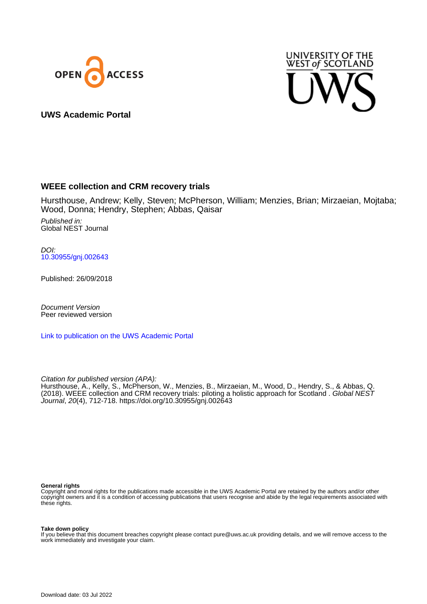



**UWS Academic Portal**

# **WEEE collection and CRM recovery trials**

Hursthouse, Andrew; Kelly, Steven; McPherson, William; Menzies, Brian; Mirzaeian, Mojtaba; Wood, Donna; Hendry, Stephen; Abbas, Qaisar

Published in: Global NEST Journal

DOI: [10.30955/gnj.002643](https://doi.org/10.30955/gnj.002643)

Published: 26/09/2018

Document Version Peer reviewed version

[Link to publication on the UWS Academic Portal](https://uws.pure.elsevier.com/en/publications/e2aed8c8-a3a8-438c-a4f7-3b172bc0fadb)

Citation for published version (APA):

Hursthouse, A., Kelly, S., McPherson, W., Menzies, B., Mirzaeian, M., Wood, D., Hendry, S., & Abbas, Q. (2018). WEEE collection and CRM recovery trials: piloting a holistic approach for Scotland . Global NEST Journal, 20(4), 712-718.<https://doi.org/10.30955/gnj.002643>

#### **General rights**

Copyright and moral rights for the publications made accessible in the UWS Academic Portal are retained by the authors and/or other copyright owners and it is a condition of accessing publications that users recognise and abide by the legal requirements associated with these rights.

#### **Take down policy**

If you believe that this document breaches copyright please contact pure@uws.ac.uk providing details, and we will remove access to the work immediately and investigate your claim.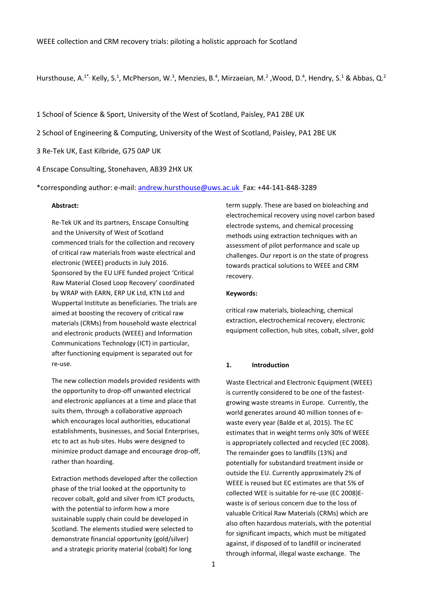Hursthouse, A.<sup>1\*,</sup> Kelly, S.<sup>1</sup>, McPherson, W.<sup>3</sup>, Menzies, B.<sup>4</sup>, Mirzaeian, M.<sup>2</sup>, Wood, D.<sup>4</sup>, Hendry, S.<sup>1</sup> & Abbas, Q.<sup>2</sup>

1 School of Science & Sport, University of the West of Scotland, Paisley, PA1 2BE UK

- 2 School of Engineering & Computing, University of the West of Scotland, Paisley, PA1 2BE UK
- 3 Re-Tek UK, East Kilbride, G75 0AP UK
- 4 Enscape Consulting, Stonehaven, AB39 2HX UK

\*corresponding author: e-mail[: andrew.hursthouse@uws.ac.uk](mailto:andrew.hursthouse@uws.ac.uk) Fax: +44-141-848-3289

#### **Abstract:**

Re-Tek UK and its partners, Enscape Consulting and the University of West of Scotland commenced trials for the collection and recovery of critical raw materials from waste electrical and electronic (WEEE) products in July 2016. Sponsored by the EU LIFE funded project 'Critical Raw Material Closed Loop Recovery' coordinated by WRAP with EARN, ERP UK Ltd, KTN Ltd and Wuppertal Institute as beneficiaries. The trials are aimed at boosting the recovery of critical raw materials (CRMs) from household waste electrical and electronic products (WEEE) and Information Communications Technology (ICT) in particular, after functioning equipment is separated out for re-use.

The new collection models provided residents with the opportunity to drop-off unwanted electrical and electronic appliances at a time and place that suits them, through a collaborative approach which encourages local authorities, educational establishments, businesses, and Social Enterprises, etc to act as hub sites. Hubs were designed to minimize product damage and encourage drop-off, rather than hoarding.

Extraction methods developed after the collection phase of the trial looked at the opportunity to recover cobalt, gold and silver from ICT products, with the potential to inform how a more sustainable supply chain could be developed in Scotland. The elements studied were selected to demonstrate financial opportunity (gold/silver) and a strategic priority material (cobalt) for long

term supply. These are based on bioleaching and electrochemical recovery using novel carbon based electrode systems, and chemical processing methods using extraction techniques with an assessment of pilot performance and scale up challenges. Our report is on the state of progress towards practical solutions to WEEE and CRM recovery.

#### **Keywords:**

critical raw materials, bioleaching, chemical extraction, electrochemical recovery, electronic equipment collection, hub sites, cobalt, silver, gold

#### **1. Introduction**

Waste Electrical and Electronic Equipment (WEEE) is currently considered to be one of the fastestgrowing waste streams in Europe. Currently, the world generates around 40 million tonnes of ewaste every year (Balde et al, 2015). The EC estimates that in weight terms only 30% of WEEE is appropriately collected and recycled (EC 2008). The remainder goes to landfills (13%) and potentially for substandard treatment inside or outside the EU. Currently approximately 2% of WEEE is reused but EC estimates are that 5% of collected WEE is suitable for re-use (EC 2008)Ewaste is of serious concern due to the loss of valuable Critical Raw Materials (CRMs) which are also often hazardous materials, with the potential for significant impacts, which must be mitigated against, if disposed of to landfill or incinerated through informal, illegal waste exchange. The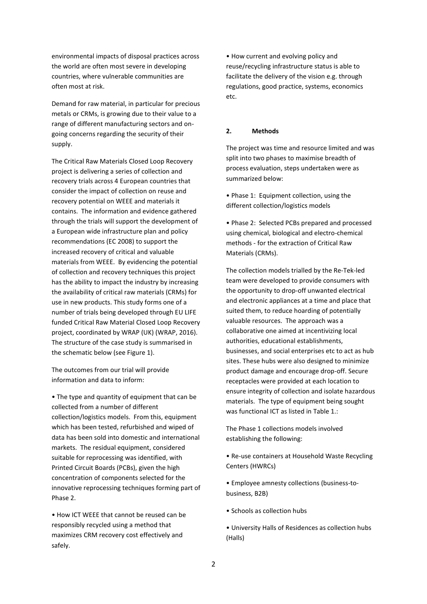environmental impacts of disposal practices across the world are often most severe in developing countries, where vulnerable communities are often most at risk.

Demand for raw material, in particular for precious metals or CRMs, is growing due to their value to a range of different manufacturing sectors and ongoing concerns regarding the security of their supply.

The Critical Raw Materials Closed Loop Recovery project is delivering a series of collection and recovery trials across 4 European countries that consider the impact of collection on reuse and recovery potential on WEEE and materials it contains. The information and evidence gathered through the trials will support the development of a European wide infrastructure plan and policy recommendations (EC 2008) to support the increased recovery of critical and valuable materials from WEEE. By evidencing the potential of collection and recovery techniques this project has the ability to impact the industry by increasing the availability of critical raw materials (CRMs) for use in new products. This study forms one of a number of trials being developed through EU LIFE funded Critical Raw Material Closed Loop Recovery project, coordinated by WRAP (UK) (WRAP, 2016). The structure of the case study is summarised in the schematic below (see Figure 1).

The outcomes from our trial will provide information and data to inform:

• The type and quantity of equipment that can be collected from a number of different collection/logistics models. From this, equipment which has been tested, refurbished and wiped of data has been sold into domestic and international markets. The residual equipment, considered suitable for reprocessing was identified, with Printed Circuit Boards (PCBs), given the high concentration of components selected for the innovative reprocessing techniques forming part of Phase 2.

• How ICT WEEE that cannot be reused can be responsibly recycled using a method that maximizes CRM recovery cost effectively and safely.

• How current and evolving policy and reuse/recycling infrastructure status is able to facilitate the delivery of the vision e.g. through regulations, good practice, systems, economics etc.

## **2. Methods**

The project was time and resource limited and was split into two phases to maximise breadth of process evaluation, steps undertaken were as summarized below:

- Phase 1: Equipment collection, using the different collection/logistics models
- Phase 2: Selected PCBs prepared and processed using chemical, biological and electro-chemical methods - for the extraction of Critical Raw Materials (CRMs).

The collection models trialled by the Re-Tek-led team were developed to provide consumers with the opportunity to drop-off unwanted electrical and electronic appliances at a time and place that suited them, to reduce hoarding of potentially valuable resources. The approach was a collaborative one aimed at incentivizing local authorities, educational establishments, businesses, and social enterprises etc to act as hub sites. These hubs were also designed to minimize product damage and encourage drop-off. Secure receptacles were provided at each location to ensure integrity of collection and isolate hazardous materials. The type of equipment being sought was functional ICT as listed in Table 1.:

The Phase 1 collections models involved establishing the following:

- Re-use containers at Household Waste Recycling Centers (HWRCs)
- Employee amnesty collections (business-tobusiness, B2B)
- Schools as collection hubs
- University Halls of Residences as collection hubs (Halls)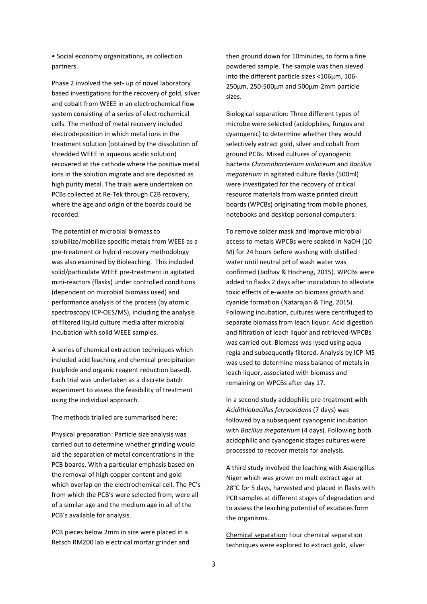• Social economy organizations, as collection partners.

Phase 2 involved the set- up of novel laboratory based investigations for the recovery of gold, silver and cobalt from WEEE in an electrochemical flow system consisting of a series of electrochemical cells. The method of metal recovery included electrodeposition in which metal ions in the treatment solution (obtained by the dissolution of shredded WEEE in aqueous acidic solution) recovered at the cathode where the positive metal ions in the solution migrate and are deposited as high purity metal. The trials were undertaken on PCBs collected at Re-Tek through C2B recovery, where the age and origin of the boards could be recorded.

The potential of microbial biomass to solubilize/mobilize specific metals from WEEE as a pre-treatment or hybrid recovery methodology was also examined by Bioleaching. This included solid/particulate WEEE pre-treatment in agitated mini-reactors (flasks) under controlled conditions (dependent on microbial biomass used) and performance analysis of the process (by atomic spectroscopy ICP-OES/MS), including the analysis of filtered liquid culture media after microbial incubation with solid WEEE samples.

A series of chemical extraction techniques which included acid leaching and chemical precipitation (sulphide and organic reagent reduction based). Each trial was undertaken as a discrete batch experiment to assess the feasibility of treatment using the individual approach.

The methods trialled are summarised here:

Physical preparation: Particle size analysis was carried out to determine whether grinding would aid the separation of metal concentrations in the PCB boards. With a particular emphasis based on the removal of high copper content and gold which overlap on the electrochemical cell. The PC's from which the PCB's were selected from, were all of a similar age and the medium age in all of the PCB's available for analysis.

PCB pieces below 2mm in size were placed in a Retsch RM200 lab electrical mortar grinder and then ground down for 10minutes, to form a fine powdered sample. The sample was then sieved into the different particle sizes <106µm, 106- 250µm, 250-500µm and 500µm-2mm particle sizes.

Biological separation: Three different types of microbe were selected (acidophiles, fungus and cyanogenic) to determine whether they would selectively extract gold, silver and cobalt from ground PCBs. Mixed cultures of cyanogenic bacteria *Chromobacterium violaceum* and *Bacillus megaterium* in agitated culture flasks (500ml) were investigated for the recovery of critical resource materials from waste printed circuit boards (WPCBs) originating from mobile phones, notebooks and desktop personal computers.

To remove solder mask and improve microbial access to metals WPCBs were soaked in NaOH (10 M) for 24 hours before washing with distilled water until neutral pH of wash water was confirmed (Jadhav & Hocheng, 2015). WPCBs were added to flasks 2 days after inoculation to alleviate toxic effects of e-waste on biomass growth and cyanide formation (Natarajan & Ting, 2015). Following incubation, cultures were centrifuged to separate biomass from leach liquor. Acid digestion and filtration of leach liquor and retrieved-WPCBs was carried out. Biomass was lysed using aqua regia and subsequently filtered. Analysis by ICP-MS was used to determine mass balance of metals in leach liquor, associated with biomass and remaining on WPCBs after day 17.

In a second study acidophilic pre-treatment with *Acidithiobacillus ferrooxidans* (7 days) was followed by a subsequent cyanogenic incubation with *Bacillus megaterium* (4 days). Following both acidophilic and cyanogenic stages cultures were processed to recover metals for analysis.

A third study involved the leaching with Aspergillus Niger which was grown on malt extract agar at 28°C for 5 days, harvested and placed in flasks with PCB samples at different stages of degradation and to assess the leaching potential of exudates form the organisms..

Chemical separation: Four chemical separation techniques were explored to extract gold, silver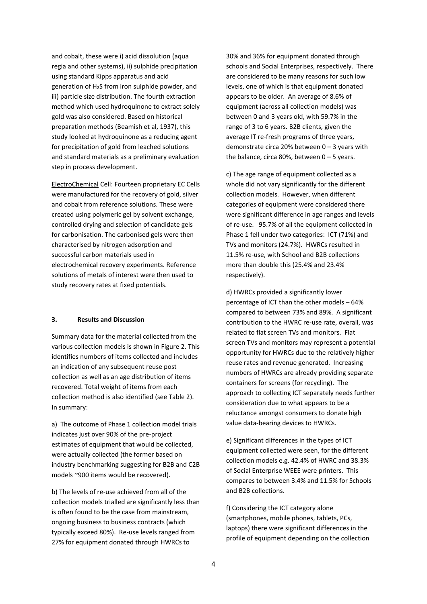and cobalt, these were i) acid dissolution (aqua regia and other systems), ii) sulphide precipitation using standard Kipps apparatus and acid generation of H2S from iron sulphide powder, and iii) particle size distribution. The fourth extraction method which used hydroquinone to extract solely gold was also considered. Based on historical preparation methods (Beamish et al, 1937), this study looked at hydroquinone as a reducing agent for precipitation of gold from leached solutions and standard materials as a preliminary evaluation step in process development.

ElectroChemical Cell: Fourteen proprietary EC Cells were manufactured for the recovery of gold, silver and cobalt from reference solutions. These were created using polymeric gel by solvent exchange, controlled drying and selection of candidate gels for carbonisation. The carbonised gels were then characterised by nitrogen adsorption and successful carbon materials used in electrochemical recovery experiments. Reference solutions of metals of interest were then used to study recovery rates at fixed potentials.

# **3. Results and Discussion**

Summary data for the material collected from the various collection models is shown in Figure 2. This identifies numbers of items collected and includes an indication of any subsequent reuse post collection as well as an age distribution of items recovered. Total weight of items from each collection method is also identified (see Table 2). In summary:

a) The outcome of Phase 1 collection model trials indicates just over 90% of the pre-project estimates of equipment that would be collected, were actually collected (the former based on industry benchmarking suggesting for B2B and C2B models ~900 items would be recovered).

b) The levels of re-use achieved from all of the collection models trialled are significantly less than is often found to be the case from mainstream, ongoing business to business contracts (which typically exceed 80%). Re-use levels ranged from 27% for equipment donated through HWRCs to

30% and 36% for equipment donated through schools and Social Enterprises, respectively. There are considered to be many reasons for such low levels, one of which is that equipment donated appears to be older. An average of 8.6% of equipment (across all collection models) was between 0 and 3 years old, with 59.7% in the range of 3 to 6 years. B2B clients, given the average IT re-fresh programs of three years, demonstrate circa 20% between 0 – 3 years with the balance, circa 80%, between  $0 - 5$  years.

c) The age range of equipment collected as a whole did not vary significantly for the different collection models. However, when different categories of equipment were considered there were significant difference in age ranges and levels of re-use. 95.7% of all the equipment collected in Phase 1 fell under two categories: ICT (71%) and TVs and monitors (24.7%). HWRCs resulted in 11.5% re-use, with School and B2B collections more than double this (25.4% and 23.4% respectively).

d) HWRCs provided a significantly lower percentage of ICT than the other models – 64% compared to between 73% and 89%. A significant contribution to the HWRC re-use rate, overall, was related to flat screen TVs and monitors. Flat screen TVs and monitors may represent a potential opportunity for HWRCs due to the relatively higher reuse rates and revenue generated. Increasing numbers of HWRCs are already providing separate containers for screens (for recycling). The approach to collecting ICT separately needs further consideration due to what appears to be a reluctance amongst consumers to donate high value data-bearing devices to HWRCs.

e) Significant differences in the types of ICT equipment collected were seen, for the different collection models e.g. 42.4% of HWRC and 38.3% of Social Enterprise WEEE were printers. This compares to between 3.4% and 11.5% for Schools and B2B collections.

f) Considering the ICT category alone (smartphones, mobile phones, tablets, PCs, laptops) there were significant differences in the profile of equipment depending on the collection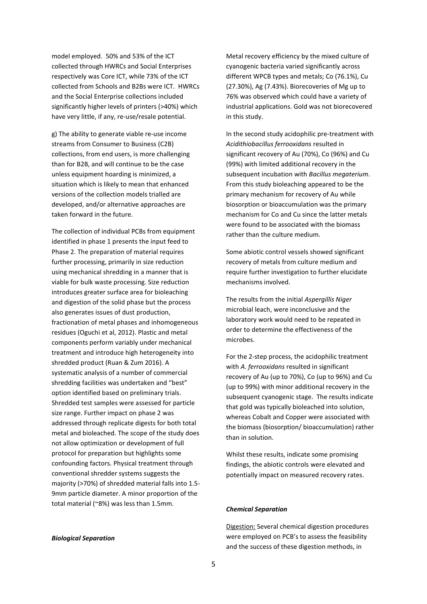model employed. 50% and 53% of the ICT collected through HWRCs and Social Enterprises respectively was Core ICT, while 73% of the ICT collected from Schools and B2Bs were ICT. HWRCs and the Social Enterprise collections included significantly higher levels of printers (>40%) which have very little, if any, re-use/resale potential.

g) The ability to generate viable re-use income streams from Consumer to Business (C2B) collections, from end users, is more challenging than for B2B, and will continue to be the case unless equipment hoarding is minimized, a situation which is likely to mean that enhanced versions of the collection models trialled are developed, and/or alternative approaches are taken forward in the future.

The collection of individual PCBs from equipment identified in phase 1 presents the input feed to Phase 2. The preparation of material requires further processing, primarily in size reduction using mechanical shredding in a manner that is viable for bulk waste processing. Size reduction introduces greater surface area for bioleaching and digestion of the solid phase but the process also generates issues of dust production, fractionation of metal phases and inhomogeneous residues (Oguchi et al, 2012). Plastic and metal components perform variably under mechanical treatment and introduce high heterogeneity into shredded product (Ruan & Zum 2016). A systematic analysis of a number of commercial shredding facilities was undertaken and "best" option identified based on preliminary trials. Shredded test samples were assessed for particle size range. Further impact on phase 2 was addressed through replicate digests for both total metal and bioleached. The scope of the study does not allow optimization or development of full protocol for preparation but highlights some confounding factors. Physical treatment through conventional shredder systems suggests the majority (>70%) of shredded material falls into 1.5- 9mm particle diameter. A minor proportion of the total material (~8%) was less than 1.5mm.

*Biological Separation*

Metal recovery efficiency by the mixed culture of cyanogenic bacteria varied significantly across different WPCB types and metals; Co (76.1%), Cu (27.30%), Ag (7.43%). Biorecoveries of Mg up to 76% was observed which could have a variety of industrial applications. Gold was not biorecovered in this study.

In the second study acidophilic pre-treatment with *Acidithiobacillus ferrooxidans* resulted in significant recovery of Au (70%), Co (96%) and Cu (99%) with limited additional recovery in the subsequent incubation with *Bacillus megaterium*. From this study bioleaching appeared to be the primary mechanism for recovery of Au while biosorption or bioaccumulation was the primary mechanism for Co and Cu since the latter metals were found to be associated with the biomass rather than the culture medium.

Some abiotic control vessels showed significant recovery of metals from culture medium and require further investigation to further elucidate mechanisms involved.

The results from the initial *Aspergillis Niger* microbial leach, were inconclusive and the laboratory work would need to be repeated in order to determine the effectiveness of the microbes.

For the 2-step process, the acidophilic treatment with *A. ferrooxidans* resulted in significant recovery of Au (up to 70%), Co (up to 96%) and Cu (up to 99%) with minor additional recovery in the subsequent cyanogenic stage. The results indicate that gold was typically bioleached into solution, whereas Cobalt and Copper were associated with the biomass (biosorption/ bioaccumulation) rather than in solution.

Whilst these results, indicate some promising findings, the abiotic controls were elevated and potentially impact on measured recovery rates.

#### *Chemical Separation*

Digestion: Several chemical digestion procedures were employed on PCB's to assess the feasibility and the success of these digestion methods, in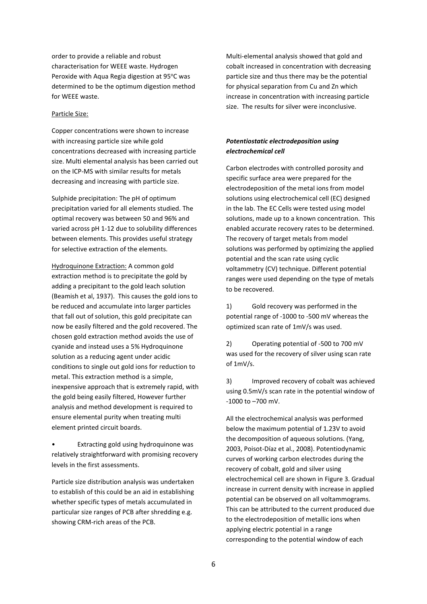order to provide a reliable and robust characterisation for WEEE waste. Hydrogen Peroxide with Aqua Regia digestion at 95°C was determined to be the optimum digestion method for WEEE waste.

#### Particle Size:

Copper concentrations were shown to increase with increasing particle size while gold concentrations decreased with increasing particle size. Multi elemental analysis has been carried out on the ICP-MS with similar results for metals decreasing and increasing with particle size.

Sulphide precipitation: The pH of optimum precipitation varied for all elements studied. The optimal recovery was between 50 and 96% and varied across pH 1-12 due to solubility differences between elements. This provides useful strategy for selective extraction of the elements.

Hydroquinone Extraction: A common gold extraction method is to precipitate the gold by adding a precipitant to the gold leach solution (Beamish et al, 1937). This causes the gold ions to be reduced and accumulate into larger particles that fall out of solution, this gold precipitate can now be easily filtered and the gold recovered. The chosen gold extraction method avoids the use of cyanide and instead uses a 5% Hydroquinone solution as a reducing agent under acidic conditions to single out gold ions for reduction to metal. This extraction method is a simple, inexpensive approach that is extremely rapid, with the gold being easily filtered, However further analysis and method development is required to ensure elemental purity when treating multi element printed circuit boards.

• Extracting gold using hydroquinone was relatively straightforward with promising recovery levels in the first assessments.

Particle size distribution analysis was undertaken to establish of this could be an aid in establishing whether specific types of metals accumulated in particular size ranges of PCB after shredding e.g. showing CRM-rich areas of the PCB.

Multi-elemental analysis showed that gold and cobalt increased in concentration with decreasing particle size and thus there may be the potential for physical separation from Cu and Zn which increase in concentration with increasing particle size. The results for silver were inconclusive.

## *Potentiostatic electrodeposition using electrochemical cell*

Carbon electrodes with controlled porosity and specific surface area were prepared for the electrodeposition of the metal ions from model solutions using electrochemical cell (EC) designed in the lab. The EC Cells were tested using model solutions, made up to a known concentration. This enabled accurate recovery rates to be determined. The recovery of target metals from model solutions was performed by optimizing the applied potential and the scan rate using cyclic voltammetry (CV) technique. Different potential ranges were used depending on the type of metals to be recovered.

1) Gold recovery was performed in the potential range of -1000 to -500 mV whereas the optimized scan rate of 1mV/s was used.

2) Operating potential of -500 to 700 mV was used for the recovery of silver using scan rate of 1mV/s.

3) Improved recovery of cobalt was achieved using 0.5mV/s scan rate in the potential window of -1000 to –700 mV.

All the electrochemical analysis was performed below the maximum potential of 1.23V to avoid the decomposition of aqueous solutions. (Yang, 2003, Poisot-Díaz et al., 2008). Potentiodynamic curves of working carbon electrodes during the recovery of cobalt, gold and silver using electrochemical cell are shown in Figure 3. Gradual increase in current density with increase in applied potential can be observed on all voltammograms. This can be attributed to the current produced due to the electrodeposition of metallic ions when applying electric potential in a range corresponding to the potential window of each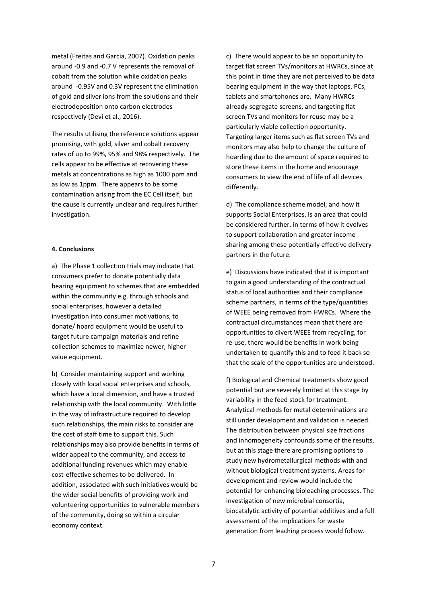metal (Freitas and Garcia, 2007). Oxidation peaks around -0.9 and -0.7 V represents the removal of cobalt from the solution while oxidation peaks around -0.95V and 0.3V represent the elimination of gold and silver ions from the solutions and their electrodeposition onto carbon electrodes respectively (Devi et al., 2016).

The results utilising the reference solutions appear promising, with gold, silver and cobalt recovery rates of up to 99%, 95% and 98% respectively. The cells appear to be effective at recovering these metals at concentrations as high as 1000 ppm and as low as 1ppm. There appears to be some contamination arising from the EC Cell itself, but the cause is currently unclear and requires further investigation.

#### **4. Conclusions**

a) The Phase 1 collection trials may indicate that consumers prefer to donate potentially data bearing equipment to schemes that are embedded within the community e.g. through schools and social enterprises, however a detailed investigation into consumer motivations, to donate/ hoard equipment would be useful to target future campaign materials and refine collection schemes to maximize newer, higher value equipment.

b) Consider maintaining support and working closely with local social enterprises and schools, which have a local dimension, and have a trusted relationship with the local community. With little in the way of infrastructure required to develop such relationships, the main risks to consider are the cost of staff time to support this. Such relationships may also provide benefits in terms of wider appeal to the community, and access to additional funding revenues which may enable cost-effective schemes to be delivered. In addition, associated with such initiatives would be the wider social benefits of providing work and volunteering opportunities to vulnerable members of the community, doing so within a circular economy context.

c) There would appear to be an opportunity to target flat screen TVs/monitors at HWRCs, since at this point in time they are not perceived to be data bearing equipment in the way that laptops, PCs, tablets and smartphones are. Many HWRCs already segregate screens, and targeting flat screen TVs and monitors for reuse may be a particularly viable collection opportunity. Targeting larger items such as flat screen TVs and monitors may also help to change the culture of hoarding due to the amount of space required to store these items in the home and encourage consumers to view the end of life of all devices differently.

d) The compliance scheme model, and how it supports Social Enterprises, is an area that could be considered further, in terms of how it evolves to support collaboration and greater income sharing among these potentially effective delivery partners in the future.

e) Discussions have indicated that it is important to gain a good understanding of the contractual status of local authorities and their compliance scheme partners, in terms of the type/quantities of WEEE being removed from HWRCs. Where the contractual circumstances mean that there are opportunities to divert WEEE from recycling, for re-use, there would be benefits in work being undertaken to quantify this and to feed it back so that the scale of the opportunities are understood.

f) Biological and Chemical treatments show good potential but are severely limited at this stage by variability in the feed stock for treatment. Analytical methods for metal determinations are still under development and validation is needed. The distribution between physical size fractions and inhomogeneity confounds some of the results, but at this stage there are promising options to study new hydrometallurgical methods with and without biological treatment systems. Areas for development and review would include the potential for enhancing bioleaching processes. The investigation of new microbial consortia, biocatalytic activity of potential additives and a full assessment of the implications for waste generation from leaching process would follow.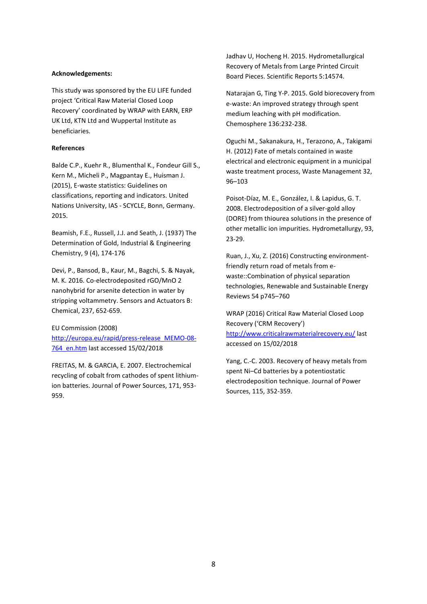#### **Acknowledgements:**

This study was sponsored by the EU LIFE funded project 'Critical Raw Material Closed Loop Recovery' coordinated by WRAP with EARN, ERP UK Ltd, KTN Ltd and Wuppertal Institute as beneficiaries.

#### **References**

Balde C.P., Kuehr R., Blumenthal K., Fondeur Gill S., Kern M., Micheli P., Magpantay E., Huisman J. (2015), E-waste statistics: Guidelines on classifications, reporting and indicators. United Nations University, IAS - SCYCLE, Bonn, Germany. 2015.

Beamish, F.E., Russell, J.J. and Seath, J. (1937) The Determination of Gold, Industrial & Engineering Chemistry, 9 (4), 174-176

Devi, P., Bansod, B., Kaur, M., Bagchi, S. & Nayak, M. K. 2016. Co-electrodeposited rGO/MnO 2 nanohybrid for arsenite detection in water by stripping voltammetry. Sensors and Actuators B: Chemical, 237, 652-659.

EU Commission (2008) [http://europa.eu/rapid/press-release\\_MEMO-08-](http://europa.eu/rapid/press-release_MEMO-08-764_en.htm) [764\\_en.htm](http://europa.eu/rapid/press-release_MEMO-08-764_en.htm) last accessed 15/02/2018

FREITAS, M. & GARCIA, E. 2007. Electrochemical recycling of cobalt from cathodes of spent lithiumion batteries. Journal of Power Sources, 171, 953- 959.

Jadhav U, Hocheng H. 2015. Hydrometallurgical Recovery of Metals from Large Printed Circuit Board Pieces. Scientific Reports 5:14574.

Natarajan G, Ting Y-P. 2015. Gold biorecovery from e-waste: An improved strategy through spent medium leaching with pH modification. Chemosphere 136:232-238.

Oguchi M., Sakanakura, H., Terazono, A., Takigami H. (2012) Fate of metals contained in waste electrical and electronic equipment in a municipal waste treatment process, Waste Management 32, 96–103

Poisot-Díaz, M. E., González, I. & Lapidus, G. T. 2008. Electrodeposition of a silver-gold alloy (DORE) from thiourea solutions in the presence of other metallic ion impurities. Hydrometallurgy, 93, 23-29.

Ruan, J., Xu, Z. (2016) Constructing environmentfriendly return road of metals from ewaste::Combination of physical separation technologies, Renewable and Sustainable Energy Reviews 54 p745–760

WRAP (2016) Critical Raw Material Closed Loop Recovery ('CRM Recovery') <http://www.criticalrawmaterialrecovery.eu/> last accessed on 15/02/2018

Yang, C.-C. 2003. Recovery of heavy metals from spent Ni–Cd batteries by a potentiostatic electrodeposition technique. Journal of Power Sources, 115, 352-359.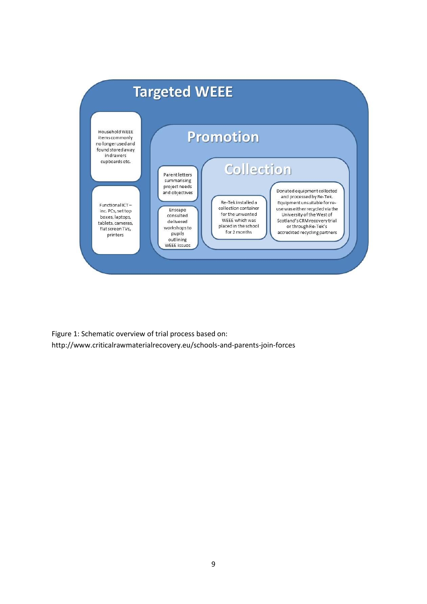

Figure 1: Schematic overview of trial process based on: http://www.criticalrawmaterialrecovery.eu/schools-and-parents-join-forces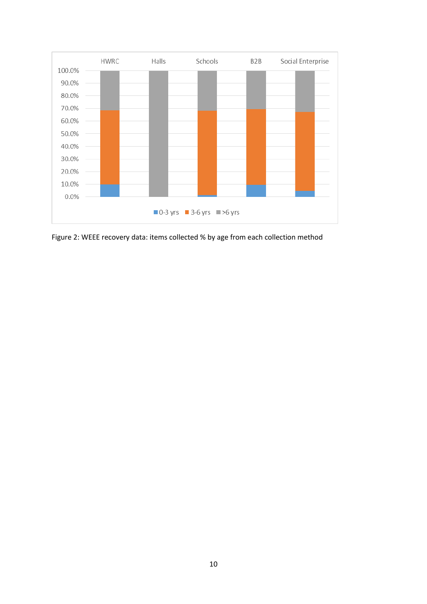

Figure 2: WEEE recovery data: items collected % by age from each collection method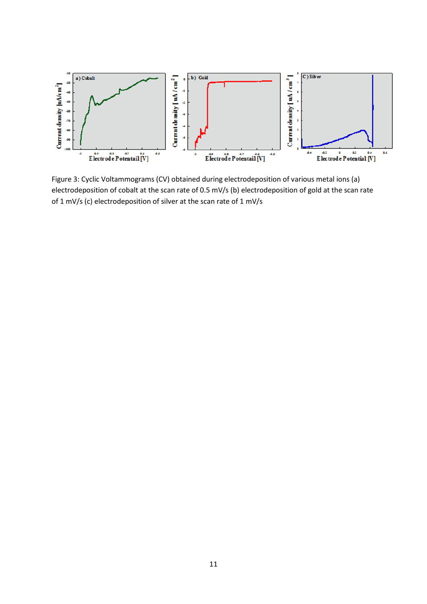

Figure 3: Cyclic Voltammograms (CV) obtained during electrodeposition of various metal ions (a) electrodeposition of cobalt at the scan rate of 0.5 mV/s (b) electrodeposition of gold at the scan rate of 1 mV/s (c) electrodeposition of silver at the scan rate of 1 mV/s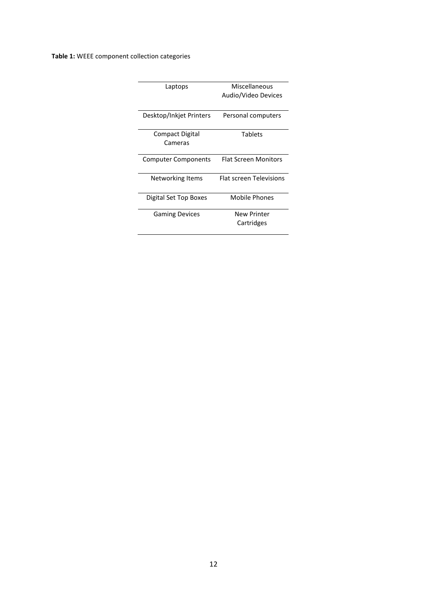**Table 1:** WEEE component collection categories

| Laptops                    | Miscellaneous               |  |
|----------------------------|-----------------------------|--|
|                            | Audio/Video Devices         |  |
|                            |                             |  |
| Desktop/Inkjet Printers    | Personal computers          |  |
|                            |                             |  |
| Compact Digital            | <b>Tablets</b>              |  |
| Cameras                    |                             |  |
|                            |                             |  |
| <b>Computer Components</b> | <b>Flat Screen Monitors</b> |  |
|                            |                             |  |
| Networking Items           | Flat screen Televisions     |  |
|                            |                             |  |
| Digital Set Top Boxes      | Mobile Phones               |  |
|                            |                             |  |
| <b>Gaming Devices</b>      | New Printer                 |  |
|                            | Cartridges                  |  |
|                            |                             |  |